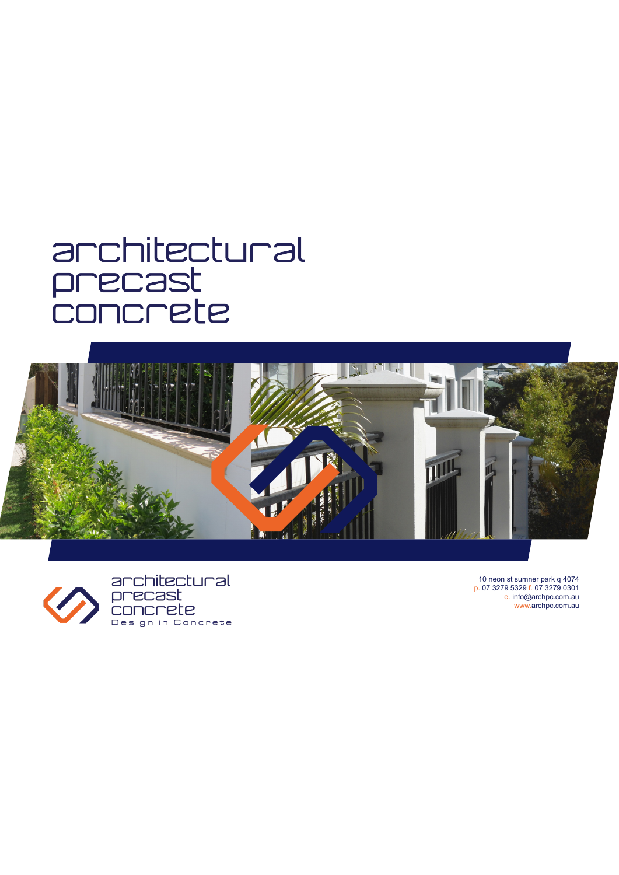## architectural precast<br>concrete





10 neon st sumner park q 4074<br>p. 07 3279 5329 f. 07 3279 0301<br>e. info@archpc.com.au www.archpc.com.au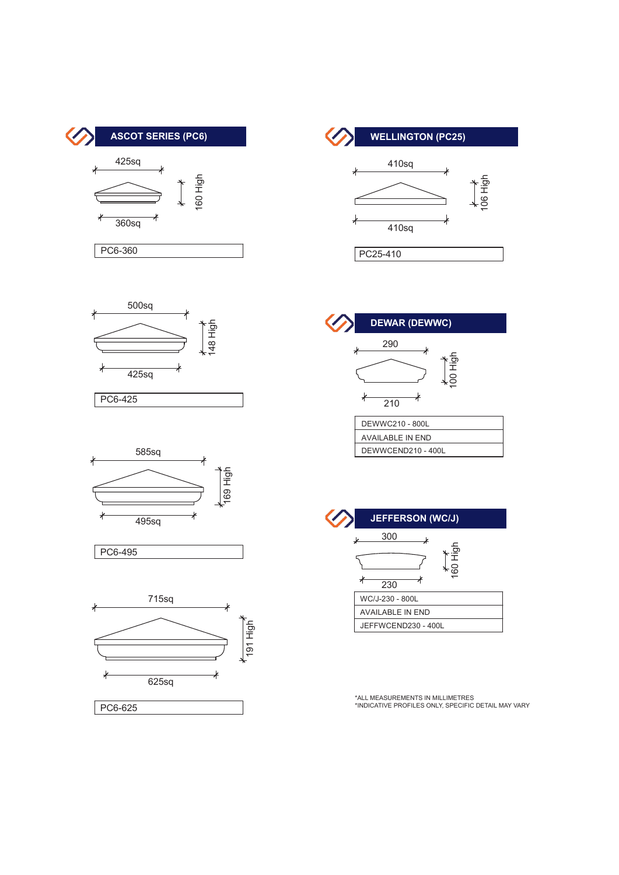















\*INDICATIVE PROFILES ONLY, SPECIFIC DETAIL MAY VARY \*INDICATIVE PROFILES ONLY, SPECIFIC DETAIL MAY VARY \*ALL MEASUREMENTS IN MILLIMETRES \*INDICATIVE PROFILES ONLY, SPECIFIC DETAIL MAY VARY